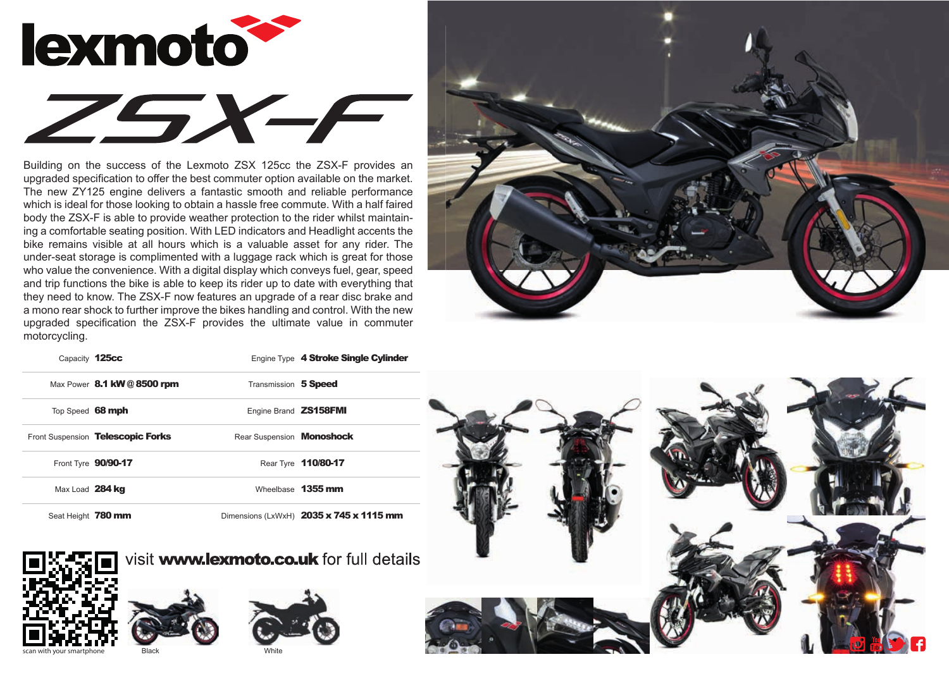

Building on the success of the Lexmoto ZSX 125cc the ZSX-F provides an upgraded specification to offer the best commuter option available on the market. The new ZY125 engine delivers a fantastic smooth and reliable performance which is ideal for those looking to obtain a hassle free commute. With a half faired body the ZSX-F is able to provide weather protection to the rider whilst maintaining a comfortable seating position. With LED indicators and Headlight accents the bike remains visible at all hours which is a valuable asset for any rider. The under-seat storage is complimented with a luggage rack which is great for those who value the convenience. With a digital display which conveys fuel, gear, speed and trip functions the bike is able to keep its rider up to date with everything that they need to know. The ZSX-F now features an upgrade of a rear disc brake and a mono rear shock to further improve the bikes handling and control. With the new upgraded specification the ZSX-F provides the ultimate value in commuter motorcycling.



| Capacity 125cc     |                                   |                                  | Engine Type 4 Stroke Single Cylinder    |
|--------------------|-----------------------------------|----------------------------------|-----------------------------------------|
|                    | Max Power 8.1 kW @ 8500 rpm       | Transmission 5 Speed             |                                         |
| Top Speed 68 mph   |                                   | Engine Brand <b>ZS158FMI</b>     |                                         |
|                    | Front Suspension Telescopic Forks | Rear Suspension <b>Monoshock</b> |                                         |
|                    | Front Tyre 90/90-17               |                                  | Rear Tyre 110/80-17                     |
| Max Load 284 kg    |                                   |                                  | Wheelbase 1355 mm                       |
| Seat Height 780 mm |                                   |                                  | Dimensions (LxWxH) 2035 x 745 x 1115 mm |



visit **www.lexmoto.co.uk** for full details